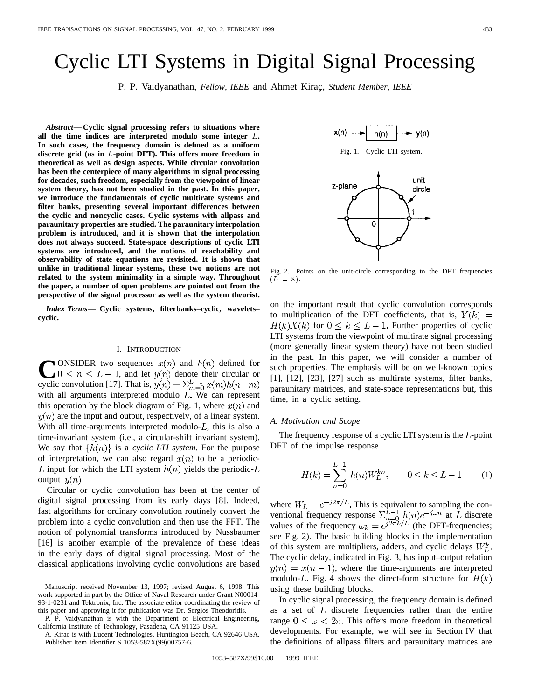# Cyclic LTI Systems in Digital Signal Processing

P. P. Vaidyanathan, *Fellow, IEEE* and Ahmet Kiraç, *Student Member, IEEE* 

*Abstract—***Cyclic signal processing refers to situations where all the time indices are interpreted modulo some integer** L**. In such cases, the frequency domain is defined as a uniform discrete grid (as in** L**-point DFT). This offers more freedom in theoretical as well as design aspects. While circular convolution has been the centerpiece of many algorithms in signal processing for decades, such freedom, especially from the viewpoint of linear system theory, has not been studied in the past. In this paper, we introduce the fundamentals of cyclic multirate systems and filter banks, presenting several important differences between the cyclic and noncyclic cases. Cyclic systems with allpass and paraunitary properties are studied. The paraunitary interpolation problem is introduced, and it is shown that the interpolation does not always succeed. State-space descriptions of cyclic LTI systems are introduced, and the notions of reachability and observability of state equations are revisited. It is shown that unlike in traditional linear systems, these two notions are not related to the system minimality in a simple way. Throughout the paper, a number of open problems are pointed out from the perspective of the signal processor as well as the system theorist.**

*Index Terms—* **Cyclic systems, filterbanks–cyclic, wavelets– cyclic.**

#### I. INTRODUCTION

**CONSIDER** two sequences  $x(n)$  and  $h(n)$  defined for  $0 \le n \le L-1$ , and let  $y(n)$  denote their circular or analogously the sequence of  $\sum_{n=1}^{L-1} x(n)h(n-m)$ cyclic convolution [17]. That is,  $y(n) = \sum_{m=0}^{L-1} x(m)h(n-m)$ with all arguments interpreted modulo  $L$ . We can represent this operation by the block diagram of Fig. 1, where  $x(n)$  and  $y(n)$  are the input and output, respectively, of a linear system. With all time-arguments interpreted modulo- $L$ , this is also a time-invariant system (i.e., a circular-shift invariant system). We say that  $\{h(n)\}\$ is a *cyclic LTI system*. For the purpose of interpretation, we can also regard  $x(n)$  to be a periodic-L input for which the LTI system  $h(n)$  yields the periodic-L output  $y(n)$ .

Circular or cyclic convolution has been at the center of digital signal processing from its early days [8]. Indeed, fast algorithms for ordinary convolution routinely convert the problem into a cyclic convolution and then use the FFT. The notion of polynomial transforms introduced by Nussbaumer [16] is another example of the prevalence of these ideas in the early days of digital signal processing. Most of the classical applications involving cyclic convolutions are based

P. P. Vaidyanathan is with the Department of Electrical Engineering, California Institute of Technology, Pasadena, CA 91125 USA.

A. Kirac is with Lucent Technologies, Huntington Beach, CA 92646 USA. Publisher Item Identifier S 1053-587X(99)00757-6.





Fig. 2. Points on the unit-circle corresponding to the DFT frequencies  $(L = 8)$ .

on the important result that cyclic convolution corresponds to multiplication of the DFT coefficients, that is,  $Y(k) =$  $H(k)X(k)$  for  $0 \le k \le L-1$ . Further properties of cyclic LTI systems from the viewpoint of multirate signal processing (more generally linear system theory) have not been studied in the past. In this paper, we will consider a number of such properties. The emphasis will be on well-known topics [1], [12], [23], [27] such as multirate systems, filter banks, paraunitary matrices, and state-space representations but, this time, in a cyclic setting.

#### *A. Motivation and Scope*

The frequency response of a cyclic LTI system is the  $L$ -point DFT of the impulse response

$$
H(k) = \sum_{n=0}^{L-1} h(n)W_L^{kn}, \qquad 0 \le k \le L-1 \tag{1}
$$

where  $W_L = e^{-j2\pi/L}$ . This is equivalent to sampling the conventional frequency response  $\sum_{n=0}^{L-1} h(n) e^{-\jmath \omega n}$  at L discrete values of the frequency  $\omega_k = e^{j2\pi k/L}$  (the DFT-frequencies; see Fig. 2). The basic building blocks in the implementation of this system are multipliers, adders, and cyclic delays  $W_t^k$ . The cyclic delay, indicated in Fig. 3, has input–output relation  $y(n) = x(n - 1)$ , where the time-arguments are interpreted modulo-L. Fig. 4 shows the direct-form structure for  $H(k)$ using these building blocks.

In cyclic signal processing, the frequency domain is defined as a set of  $L$  discrete frequencies rather than the entire range  $0 \leq \omega < 2\pi$ . This offers more freedom in theoretical developments. For example, we will see in Section IV that the definitions of allpass filters and paraunitary matrices are

Manuscript received November 13, 1997; revised August 6, 1998. This work supported in part by the Office of Naval Research under Grant N00014- 93-1-0231 and Tektronix, Inc. The associate editor coordinating the review of this paper and approving it for publication was Dr. Sergios Theodoridis.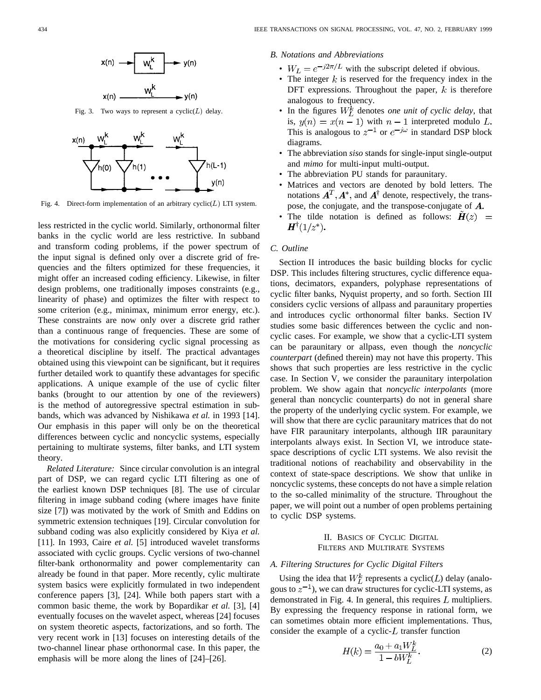

Fig. 3. Two ways to represent a  $cyclic(L)$  delay.



Fig. 4. Direct-form implementation of an arbitrary  $cyclic(L)$  LTI system.

less restricted in the cyclic world. Similarly, orthonormal filter banks in the cyclic world are less restrictive. In subband and transform coding problems, if the power spectrum of the input signal is defined only over a discrete grid of frequencies and the filters optimized for these frequencies, it might offer an increased coding efficiency. Likewise, in filter design problems, one traditionally imposes constraints (e.g., linearity of phase) and optimizes the filter with respect to some criterion (e.g., minimax, minimum error energy, etc.). These constraints are now only over a discrete grid rather than a continuous range of frequencies. These are some of the motivations for considering cyclic signal processing as a theoretical discipline by itself. The practical advantages obtained using this viewpoint can be significant, but it requires further detailed work to quantify these advantages for specific applications. A unique example of the use of cyclic filter banks (brought to our attention by one of the reviewers) is the method of autoregressive spectral estimation in subbands, which was advanced by Nishikawa *et al.* in 1993 [14]. Our emphasis in this paper will only be on the theoretical differences between cyclic and noncyclic systems, especially pertaining to multirate systems, filter banks, and LTI system theory.

*Related Literature:* Since circular convolution is an integral part of DSP, we can regard cyclic LTI filtering as one of the earliest known DSP techniques [8]. The use of circular filtering in image subband coding (where images have finite size [7]) was motivated by the work of Smith and Eddins on symmetric extension techniques [19]. Circular convolution for subband coding was also explicitly considered by Kiya *et al.* [11]. In 1993, Caire *et al.* [5] introduced wavelet transforms associated with cyclic groups. Cyclic versions of two-channel filter-bank orthonormality and power complementarity can already be found in that paper. More recently, cylic multirate system basics were explicitly formulated in two independent conference papers [3], [24]. While both papers start with a common basic theme, the work by Bopardikar *et al.* [3], [4] eventually focuses on the wavelet aspect, whereas [24] focuses on system theoretic aspects, factorizations, and so forth. The very recent work in [13] focuses on interesting details of the two-channel linear phase orthonormal case. In this paper, the emphasis will be more along the lines of [24]–[26].

*B. Notations and Abbreviations*

- $W_L = e^{-j2\pi/L}$  with the subscript deleted if obvious.
- The integer  $k$  is reserved for the frequency index in the DFT expressions. Throughout the paper,  $k$  is therefore analogous to frequency.
- In the figures  $W_L^k$  denotes *one unit of cyclic delay*, that is,  $y(n) = x(n-1)$  with  $n-1$  interpreted modulo L. This is analogous to  $z^{-1}$  or  $e^{-j\omega}$  in standard DSP block diagrams.
- The abbreviation *siso* stands for single-input single-output and *mimo* for multi-input multi-output.
- The abbreviation PU stands for paraunitary.
- Matrices and vectors are denoted by bold letters. The notations  $\mathbf{A}^T, \mathbf{A}^*$ , and  $\mathbf{A}^\dagger$  denote, respectively, the transpose, the conjugate, and the transpose-conjugate of  $A$ .
- The tilde notation is defined as follows:  $\mathbf{H}(z)$  =  $H^{\dagger}(1/z^*).$

# *C. Outline*

Section II introduces the basic building blocks for cyclic DSP. This includes filtering structures, cyclic difference equations, decimators, expanders, polyphase representations of cyclic filter banks, Nyquist property, and so forth. Section III considers cyclic versions of allpass and paraunitary properties and introduces cyclic orthonormal filter banks. Section IV studies some basic differences between the cyclic and noncyclic cases. For example, we show that a cyclic-LTI system can be paraunitary or allpass, even though the *noncyclic counterpart* (defined therein) may not have this property. This shows that such properties are less restrictive in the cyclic case. In Section V, we consider the paraunitary interpolation problem. We show again that *noncyclic interpolants* (more general than noncyclic counterparts) do not in general share the property of the underlying cyclic system. For example, we will show that there are cyclic paraunitary matrices that do not have FIR paraunitary interpolants, although IIR paraunitary interpolants always exist. In Section VI, we introduce statespace descriptions of cyclic LTI systems. We also revisit the traditional notions of reachability and observability in the context of state-space descriptions. We show that unlike in noncyclic systems, these concepts do not have a simple relation to the so-called minimality of the structure. Throughout the paper, we will point out a number of open problems pertaining to cyclic DSP systems.

## II. BASICS OF CYCLIC DIGITAL FILTERS AND MULTIRATE SYSTEMS

## *A. Filtering Structures for Cyclic Digital Filters*

Using the idea that  $W_L^k$  represents a cyclic( $L$ ) delay (analogous to  $z^{-1}$ ), we can draw structures for cyclic-LTI systems, as demonstrated in Fig. 4. In general, this requires  $L$  multipliers. By expressing the frequency response in rational form, we can sometimes obtain more efficient implementations. Thus, consider the example of a cyclic- $L$  transfer function

$$
H(k) = \frac{a_0 + a_1 W_L^k}{1 - bW_L^k}.
$$
 (2)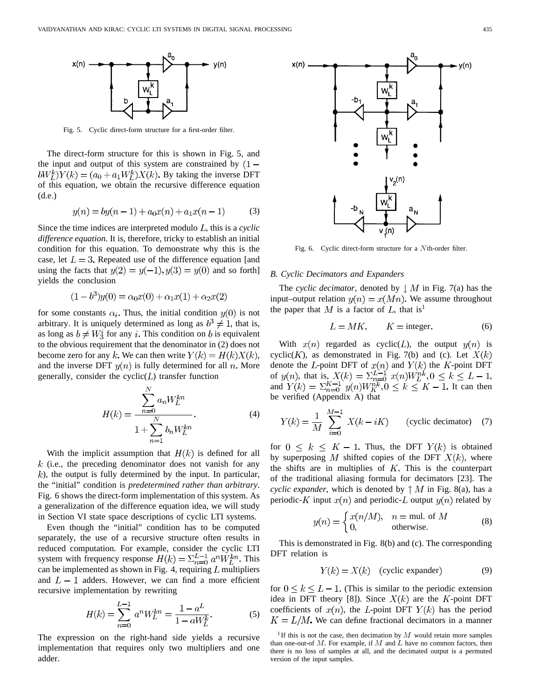

Fig. 5. Cyclic direct-form structure for a first-order filter.

The direct-form structure for this is shown in Fig. 5, and the input and output of this system are constrained by  $(1$  $bW_L^k$  $Y(k) = (a_0 + a_1 W_L^k)X(k)$ . By taking the inverse DFT of this equation, we obtain the recursive difference equation (d.e.)

$$
y(n) = by(n-1) + a_0x(n) + a_1x(n-1)
$$
 (3)

Since the time indices are interpreted modulo  $L$ , this is a *cyclic difference equation*. It is, therefore, tricky to establish an initial condition for this equation. To demonstrate why this is the case, let  $L = 3$ . Repeated use of the difference equation [and using the facts that  $y(2) = y(-1), y(3) = y(0)$  and so forth] yields the conclusion

$$
(1 - b3)y(0) = \alpha_0 x(0) + \alpha_1 x(1) + \alpha_2 x(2)
$$

for some constants  $\alpha_i$ . Thus, the initial condition  $y(0)$  is not arbitrary. It is uniquely determined as long as  $b^3 \neq 1$ , that is, as long as  $b \neq W_3^i$  for any i. This condition on b is equivalent to the obvious requirement that the denominator in (2) does not become zero for any k. We can then write  $Y(k) = H(k)X(k)$ , and the inverse DFT  $y(n)$  is fully determined for all n. More generally, consider the  $cyclic(L)$  transfer function

$$
H(k) = \frac{\sum_{n=0}^{N} a_n W_L^{kn}}{1 + \sum_{n=1}^{N} b_n W_L^{kn}}.
$$
 (4)

With the implicit assumption that  $H(k)$  is defined for all  $k$  (i.e., the preceding denominator does not vanish for any  $k$ ), the output is fully determined by the input. In particular, the "initial" condition is *predetermined rather than arbitrary*. Fig. 6 shows the direct-form implementation of this system. As a generalization of the difference equation idea, we will study in Section VI state space descriptions of cyclic LTI systems.

Even though the "initial" condition has to be computed separately, the use of a recursive structure often results in reduced computation. For example, consider the cyclic LTI system with frequency response  $H(k) = \sum_{n=0}^{L-1} a^n \dot{W}_L^{kn}$ . This can be implemented as shown in Fig. 4, requiring  $L$  multipliers and  $L-1$  adders. However, we can find a more efficient recursive implementation by rewriting

$$
H(k) = \sum_{n=0}^{L-1} a^n W_L^{kn} = \frac{1 - a^L}{1 - aW_L^k}.
$$
 (5)

The expression on the right-hand side yields a recursive implementation that requires only two multipliers and one adder.



Fig. 6. Cyclic direct-form structure for a Nth-order filter.

## *B. Cyclic Decimators and Expanders*

The *cyclic decimator*, denoted by  $\downarrow M$  in Fig. 7(a) has the input–output relation  $y(n) = x(Mn)$ . We assume throughout the paper that M is a factor of L, that is<sup>1</sup>

$$
L = MK, \qquad K = \text{integer.} \tag{6}
$$

With  $x(n)$  regarded as cyclic(*L*), the output  $y(n)$  is cyclic(K), as demonstrated in Fig. 7(b) and (c). Let  $X(k)$ denote the L-point DFT of  $x(n)$  and  $Y(k)$  the K-point DFT of  $y(n)$ , that is,  $X(k) = \sum_{n=0}^{L-1} x(n)W_L^{nk}, 0 \le k \le L-1$ , and  $Y(k) = \sum_{n=0}^{K-1} y(n)W_{K}^{nk}, 0 \leq k \leq K-1$ . It can then be verified (Appendix A) that

$$
Y(k) = \frac{1}{M} \sum_{i=0}^{M-1} X(k - iK)
$$
 (cyclic decimator) (7)

for  $0 \leq k \leq K - 1$ . Thus, the DFT  $Y(k)$  is obtained by superposing M shifted copies of the DFT  $X(k)$ , where the shifts are in multiplies of  $K$ . This is the counterpart of the traditional aliasing formula for decimators [23]. The *cyclic expander*, which is denoted by  $\uparrow M$  in Fig. 8(a), has a periodic-K input  $x(n)$  and periodic-L output  $y(n)$  related by

$$
y(n) = \begin{cases} x(n/M), & n = \text{mul. of } M \\ 0, & \text{otherwise.} \end{cases}
$$
 (8)

This is demonstrated in Fig. 8(b) and (c). The corresponding DFT relation is

$$
Y(k) = X(k) \quad \text{(cyclic expander)} \tag{9}
$$

for  $0 \leq k \leq L - 1$ . (This is similar to the periodic extension idea in DFT theory [8]). Since  $X(k)$  are the K-point DFT coefficients of  $x(n)$ , the L-point DFT  $Y(k)$  has the period  $K = L/M$ . We can define fractional decimators in a manner

<sup>&</sup>lt;sup>1</sup> If this is not the case, then decimation by  $M$  would retain more samples than one-out-of  $M$ . For example, if  $M$  and  $L$  have no common factors, then there is no loss of samples at all, and the decimated output is a permuted version of the input samples.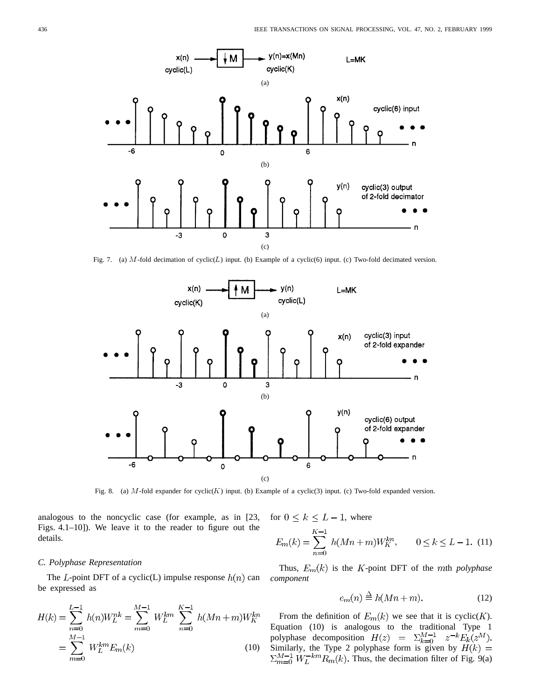

Fig. 7. (a) M-fold decimation of  $cyclic(L)$  input. (b) Example of a cyclic(6) input. (c) Two-fold decimated version.



Fig. 8. (a) M-fold expander for cyclic(K) input. (b) Example of a cyclic(3) input. (c) Two-fold expanded version.

analogous to the noncyclic case (for example, as in [23, Figs. 4.1–10]). We leave it to the reader to figure out the details.

## *C. Polyphase Representation*

The *L*-point DFT of a cyclic(L) impulse response  $h(n)$  can be expressed as

$$
H(k) = \sum_{n=0}^{L-1} h(n)W_L^{nk} = \sum_{m=0}^{M-1} W_L^{km} \sum_{n=0}^{K-1} h(Mn+m)W_K^{kn}
$$

$$
= \sum_{m=0}^{M-1} W_L^{km} E_m(k)
$$
(10)

for  $0 \leq k \leq L-1$ , where

$$
E_m(k) = \sum_{n=0}^{K-1} h(Mn+m)W_K^{kn}, \qquad 0 \le k \le L-1.
$$
 (11)

Thus,  $E_m(k)$  is the  $K$ -point DFT of the  $m$ th *polyphase component*

$$
e_m(n) \stackrel{\Delta}{=} h(Mn+m). \tag{12}
$$

From the definition of  $E_m(k)$  we see that it is cyclic(K). Equation (10) is analogous to the traditional Type 1 polyphase decomposition Similarly, the Type 2 polyphase form is given by Thus, the decimation filter of Fig. 9(a)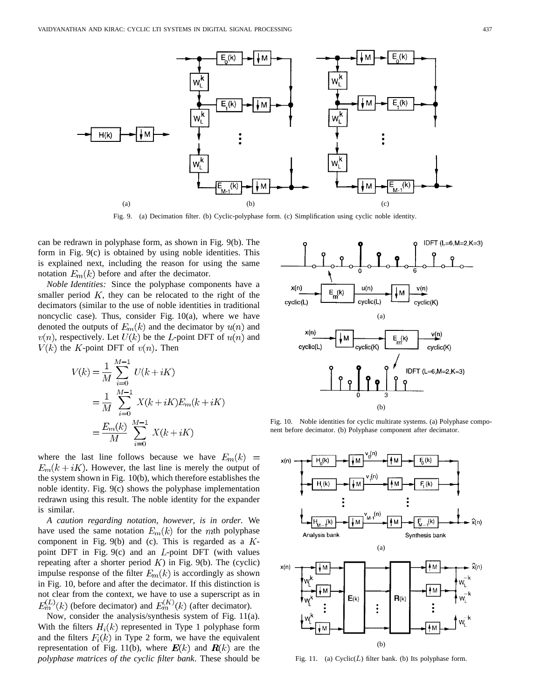

Fig. 9. (a) Decimation filter. (b) Cyclic-polyphase form. (c) Simplification using cyclic noble identity.

can be redrawn in polyphase form, as shown in Fig. 9(b). The form in Fig. 9(c) is obtained by using noble identities. This is explained next, including the reason for using the same notation  $E_m(k)$  before and after the decimator.

*Noble Identities:* Since the polyphase components have a smaller period  $K$ , they can be relocated to the right of the decimators (similar to the use of noble identities in traditional noncyclic case). Thus, consider Fig. 10(a), where we have denoted the outputs of  $E_m(k)$  and the decimator by  $u(n)$  and  $v(n)$ , respectively. Let  $U(k)$  be the L-point DFT of  $u(n)$  and  $V(k)$  the K-point DFT of  $v(n)$ . Then

$$
V(k) = \frac{1}{M} \sum_{i=0}^{M-1} U(k + iK)
$$
  
= 
$$
\frac{1}{M} \sum_{i=0}^{M-1} X(k + iK) E_m(k + iK)
$$
  
= 
$$
\frac{E_m(k)}{M} \sum_{i=0}^{M-1} X(k + iK)
$$

where the last line follows because we have  $E_m(k)$  =  $E_m(k+iK)$ . However, the last line is merely the output of the system shown in Fig. 10(b), which therefore establishes the noble identity. Fig. 9(c) shows the polyphase implementation redrawn using this result. The noble identity for the expander is similar.

*A caution regarding notation, however, is in order.* We have used the same notation  $E_m(k)$  for the mth polyphase component in Fig. 9(b) and (c). This is regarded as a  $K$ point DFT in Fig.  $9(c)$  and an *L*-point DFT (with values repeating after a shorter period  $K$ ) in Fig. 9(b). The (cyclic) impulse response of the filter  $E_m(k)$  is accordingly as shown in Fig. 10, before and after the decimator. If this distinction is not clear from the context, we have to use a superscript as in (before decimator) and  $E_m^{(K)}(k)$  (after decimator).

Now, consider the analysis/synthesis system of Fig. 11(a). With the filters  $H_i(k)$  represented in Type 1 polyphase form and the filters  $F_i(k)$  in Type 2 form, we have the equivalent representation of Fig. 11(b), where  $E(k)$  and  $R(k)$  are the *polyphase matrices of the cyclic filter bank*. These should be



Fig. 10. Noble identities for cyclic multirate systems. (a) Polyphase component before decimator. (b) Polyphase component after decimator.



Fig. 11. (a)  $Cyclic(L)$  filter bank. (b) Its polyphase form.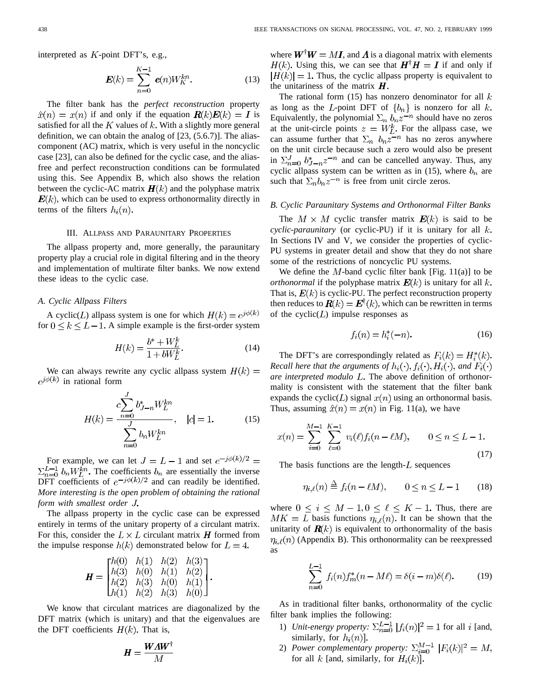interpreted as  $K$ -point DFT's, e.g.,

$$
E(k) = \sum_{n=0}^{K-1} e(n)W_K^{kn}.
$$
 (13)

The filter bank has the *perfect reconstruction* property  $\hat{x}(n) = x(n)$  if and only if the equation  $\mathbf{R}(k)\mathbf{E}(k) = \mathbf{I}$  is satisfied for all the  $K$  values of  $k$ . With a slightly more general definition, we can obtain the analog of [23, (5.6.7)]. The aliascomponent (AC) matrix, which is very useful in the noncyclic case [23], can also be defined for the cyclic case, and the aliasfree and perfect reconstruction conditions can be formulated using this. See Appendix B, which also shows the relation between the cyclic-AC matrix  $\mathbf{H}(k)$  and the polyphase matrix  $E(k)$ , which can be used to express orthonormality directly in terms of the filters  $h_i(n)$ .

## III. ALLPASS AND PARAUNITARY PROPERTIES

The allpass property and, more generally, the paraunitary property play a crucial role in digital filtering and in the theory and implementation of multirate filter banks. We now extend these ideas to the cyclic case.

## *A. Cyclic Allpass Filters*

A cyclic(*L*) allpass system is one for which  $H(k) = e^{j\phi(k)}$ for  $0 \le k \le L - 1$ . A simple example is the first-order system

$$
H(k) = \frac{b^* + W_L^k}{1 + bW_L^k}.
$$
\n(14)

We can always rewrite any cyclic allpass system  $H(k)$  =  $e^{j\phi(k)}$  in rational form

$$
H(k) = \frac{c\sum_{n=0}^{J} b_{J-n}^{*} W_{L}^{kn}}{\sum_{n=0}^{J} b_{n} W_{L}^{kn}}, \quad |c| = 1.
$$
 (15)

For example, we can let  $J = L - 1$  and set  $e^{-j\phi(k)/2}$  $\Sigma_{n=0}^{L-1}$   $b_n W_L^{kn}$ . The coefficients  $b_n$  are essentially the inverse DFT coefficients of  $e^{-j\phi(k)/2}$  and can readily be identified. *More interesting is the open problem of obtaining the rational form with smallest order*

The allpass property in the cyclic case can be expressed entirely in terms of the unitary property of a circulant matrix. For this, consider the  $L \times L$  circulant matrix **H** formed from the impulse response  $h(k)$  demonstrated below for  $L = 4$ .

$$
\mathbf{H} = \begin{bmatrix} h(0) & h(1) & h(2) & h(3) \\ h(3) & h(0) & h(1) & h(2) \\ h(2) & h(3) & h(0) & h(1) \\ h(1) & h(2) & h(3) & h(0) \end{bmatrix}.
$$

We know that circulant matrices are diagonalized by the DFT matrix (which is unitary) and that the eigenvalues are the DFT coefficients  $H(k)$ . That is,

$$
\pmb{H} = \frac{\pmb{W\pmb{\Lambda W}^\dagger}}{M}
$$

where  $W^{\dagger}W = M I$ , and  $\Lambda$  is a diagonal matrix with elements  $H(k)$ . Using this, we can see that  $H^{\dagger}H = I$  if and only if  $|H(k)| = 1$ . Thus, the cyclic allpass property is equivalent to the unitariness of the matrix  $H$ .

The rational form  $(15)$  has nonzero denominator for all k as long as the L-point DFT of  $\{b_n\}$  is nonzero for all k. Equivalently, the polynomial  $\Sigma_n b_n z^{-n}$  should have no zeros at the unit-circle points  $z = W_L^k$ . For the allpass case, we can assume further that  $\sum_n b_n z^{-n}$  has no zeros anywhere on the unit circle because such a zero would also be present in  $\sum_{n=0}^{J} b_{J-n}^* z^{-n}$  and can be cancelled anyway. Thus, any cyclic allpass system can be written as in (15), where  $b_n$  are such that  $\Sigma_n b_n z^{-n}$  is free from unit circle zeros.

## *B. Cyclic Paraunitary Systems and Orthonormal Filter Banks*

The  $M \times M$  cyclic transfer matrix  $E(k)$  is said to be *cyclic-paraunitary* (or cyclic-PU) if it is unitary for all In Sections IV and V, we consider the properties of cyclic-PU systems in greater detail and show that they do not share some of the restrictions of noncyclic PU systems.

We define the  $M$ -band cyclic filter bank [Fig. 11(a)] to be *orthonormal* if the polyphase matrix  $E(k)$  is unitary for all k. That is,  $E(k)$  is cyclic-PU. The perfect reconstruction property then reduces to  $R(k) = E^{T}(k)$ , which can be rewritten in terms of the cyclic( $L$ ) impulse responses as

$$
f_i(n) = h_i^*(-n). \tag{16}
$$

The DFT's are correspondingly related as  $F_i(k) = H_i^*(k)$ . *Recall here that the arguments of*  $h_i(\cdot), f_i(\cdot), H_i(\cdot)$ , and  $F_i(\cdot)$ *are interpreted modulo L*. The above definition of orthonormality is consistent with the statement that the filter bank expands the cyclic( $L$ ) signal  $x(n)$  using an orthonormal basis. Thus, assuming  $\hat{x}(n) = x(n)$  in Fig. 11(a), we have

$$
x(n) = \sum_{i=0}^{M-1} \sum_{\ell=0}^{K-1} v_i(\ell) f_i(n - \ell M), \qquad 0 \le n \le L - 1.
$$
\n(17)

The basis functions are the length- $L$  sequences

$$
\eta_{i,\ell}(n) \stackrel{\Delta}{=} f_i(n - \ell M), \qquad 0 \le n \le L - 1 \tag{18}
$$

where  $0 \le i \le M - 1, 0 \le \ell \le K - 1$ . Thus, there are  $MK = L$  basis functions  $\eta_{i,\ell}(n)$ . It can be shown that the unitarity of  $\mathbf{R}(k)$  is equivalent to orthonormality of the basis  $\eta_{i,\ell}(n)$  (Appendix B). This orthonormality can be reexpressed as

$$
\sum_{n=0}^{L-1} f_i(n) f_m^*(n - M\ell) = \delta(i - m)\delta(\ell). \tag{19}
$$

As in traditional filter banks, orthonormality of the cyclic filter bank implies the following:

- 1) *Unit-energy property:*  $\sum_{n=0}^{L-1} |f_i(n)|^2 = 1$  for all i [and, similarly, for  $h_i(n)$ .
- 2) *Power complementary property:* for all  $k$  [and, similarly, for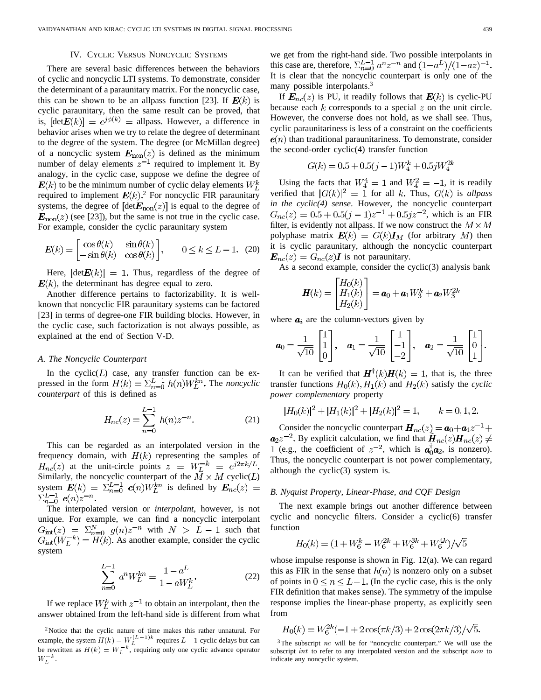## IV. CYCLIC VERSUS NONCYCLIC SYSTEMS

There are several basic differences between the behaviors of cyclic and noncyclic LTI systems. To demonstrate, consider the determinant of a paraunitary matrix. For the noncyclic case, this can be shown to be an allpass function [23]. If  $E(k)$  is cyclic paraunitary, then the same result can be proved, that is,  $[\text{det}E(k)] = e^{j\phi(k)}$  = allpass. However, a difference in behavior arises when we try to relate the degree of determinant to the degree of the system. The degree (or McMillan degree) of a noncyclic system  $\mathbf{E}_{\text{non}}(z)$  is defined as the minimum number of delay elements  $z^{-1}$  required to implement it. By analogy, in the cyclic case, suppose we define the degree of  $E(k)$  to be the minimum number of cyclic delay elements  $W_F^k$ required to implement  $E(k)$ .<sup>2</sup> For noncyclic FIR paraunitary systems, the degree of  $[\text{det}E_{\text{non}}(z)]$  is equal to the degree of  $E_{\text{non}}(z)$  (see [23]), but the same is not true in the cyclic case. For example, consider the cyclic paraunitary system

$$
\boldsymbol{E}(k) = \begin{bmatrix} \cos \theta(k) & \sin \theta(k) \\ -\sin \theta(k) & \cos \theta(k) \end{bmatrix}, \qquad 0 \le k \le L - 1. \tag{20}
$$

Here,  $[\text{det}E(k)] = 1$ . Thus, regardless of the degree of  $E(k)$ , the determinant has degree equal to zero.

Another difference pertains to factorizability. It is wellknown that noncyclic FIR paraunitary systems can be factored [23] in terms of degree-one FIR building blocks. However, in the cyclic case, such factorization is not always possible, as explained at the end of Section V-D.

## *A. The Noncyclic Counterpart*

In the cyclic $(L)$  case, any transfer function can be expressed in the form  $H(k) = \sum_{n=0}^{L-1} h(n)W_L^{kn}$ . The *noncyclic counterpart* of this is defined as

$$
H_{nc}(z) = \sum_{n=0}^{L-1} h(n)z^{-n}.
$$
 (21)

This can be regarded as an interpolated version in the frequency domain, with  $H(k)$  representing the samples of  $H_{nc}(z)$  at the unit-circle points  $z = W_L^{-k} = e^{j2\pi k/L}$ . Similarly, the noncyclic counterpart of the  $M \times M$  cyclic( $L$ ) system  $E(k) = \sum_{n=0}^{L-1} e(n)W_L^{kn}$  is defined by  $\Sigma_{n=0}^{L-1} e(n) z^{-n}$ .<br>The interpolated version or *interpolant*, however, is not

unique. For example, we can find a noncyclic interpolant  $G_{\rm int}(z) = \sum_{n=0}^{N} g(n) z^{-n}$  with  $N > L - 1$  such that  $G_{\text{int}}(W_L^{-k}) = H(k)$ . As another example, consider the cyclic system

$$
\sum_{n=0}^{L-1} a^n W_L^{kn} = \frac{1 - a^L}{1 - aW_L^k}.
$$
 (22)

If we replace  $W_L^k$  with  $z^{-1}$  to obtain an interpolant, then the answer obtained from the left-hand side is different from what

we get from the right-hand side. Two possible interpolants in this case are, therefore,  $\sum_{n=0}^{L-1} a^n z^{-n}$  and  $(1-a^L)/(1-az)^{-1}$ . It is clear that the noncyclic counterpart is only one of the many possible interpolants.<sup>3</sup>

If  $\mathbf{E}_{nc}(z)$  is PU, it readily follows that  $\mathbf{E}(k)$  is cyclic-PU because each  $k$  corresponds to a special  $z$  on the unit circle. However, the converse does not hold, as we shall see. Thus, cyclic paraunitariness is less of a constraint on the coefficients  $e(n)$  than traditional paraunitariness. To demonstrate, consider the second-order cyclic(4) transfer function

$$
G(k) = 0.5 + 0.5(j - 1)W_4^k + 0.5jW_4^{2k}
$$

Using the facts that  $W_4^4 = 1$  and  $W_4^2 = -1$ , it is readily verified that  $|G(k)|^2 = 1$  for all k. Thus,  $G(k)$  is *allpass in the cyclic(4) sense*. However, the noncyclic counterpart  $G_{nc}(z) = 0.5 + 0.5(j - 1)z^{-1} + 0.5jz^{-2}$ , which is an FIR filter, is evidently not allpass. If we now construct the  $M \times M$ polyphase matrix  $\mathbf{E}(k) = G(k) \mathbf{I}_M$  (for arbitrary M) then it is cyclic paraunitary, although the noncyclic counterpart  $\boldsymbol{E}_{nc}(z) = G_{nc}(z) \boldsymbol{I}$  is not paraunitary.

As a second example, consider the cyclic(3) analysis bank

$$
\boldsymbol{H}(k) = \begin{bmatrix} H_0(k) \\ H_1(k) \\ H_2(k) \end{bmatrix} = \boldsymbol{a}_0 + \boldsymbol{a}_1 W_3^k + \boldsymbol{a}_2 W_3^{2k}
$$

where  $a_i$  are the column-vectors given by

$$
\mathbf{a}_0 = \frac{1}{\sqrt{10}} \begin{bmatrix} 1 \\ 1 \\ 0 \end{bmatrix}, \quad \mathbf{a}_1 = \frac{1}{\sqrt{10}} \begin{bmatrix} 1 \\ -1 \\ -2 \end{bmatrix}, \quad \mathbf{a}_2 = \frac{1}{\sqrt{10}} \begin{bmatrix} 1 \\ 0 \\ 1 \end{bmatrix}.
$$

It can be verified that  $H^{\dagger}(k)H(k) = 1$ , that is, the three transfer functions  $H_0(k)$ ,  $H_1(k)$  and  $H_2(k)$  satisfy the *cyclic power complementary* property

$$
|H_0(k)|^2 + |H_1(k)|^2 + |H_2(k)|^2 = 1, \qquad k = 0, 1, 2.
$$

Consider the noncyclic counterpart  $\mathbf{H}_{nc}(z) = \mathbf{a}_0 + \mathbf{a}_1 z^{-1} + \mathbf{a}_2 z^{-1}$  $a_2z^{-2}$ . By explicit calculation, we find that  $H_{nc}(z)H_{nc}(z) \neq$ 1 (e.g., the coefficient of  $z^{-2}$ , which is  $a_0^{\dagger} a_2$ , is nonzero). Thus, the noncyclic counterpart is not power complementary, although the cyclic(3) system is.

#### *B. Nyquist Property, Linear-Phase, and CQF Design*

The next example brings out another difference between cyclic and noncyclic filters. Consider a cyclic(6) transfer function

$$
H_0(k) = (1 + W_6^k - W_6^{2k} + W_6^{3k} + W_6^{4k})/\sqrt{5}
$$

whose impulse response is shown in Fig. 12(a). We can regard this as FIR in the sense that  $h(n)$  is nonzero only on a subset of points in  $0 \le n \le L-1$ . (In the cyclic case, this is the only FIR definition that makes sense). The symmetry of the impulse response implies the linear-phase property, as explicitly seen from

$$
H_0(k) = W_6^{2k}(-1 + 2\cos(\pi k/3) + 2\cos(2\pi k/3)/\sqrt{5}.
$$

<sup>3</sup>The subscript nc will be for "noncyclic counterpart." We will use the subscript int to refer to any interpolated version and the subscript non to indicate any noncyclic system.

<sup>&</sup>lt;sup>2</sup>Notice that the cyclic nature of time makes this rather unnatural. For answer obtained from the left-hand side is different from what<br><sup>2</sup>Notice that the cyclic nature of time makes this rather unnatural. For<br>example, the system  $H(k) = W_L^{(L-1)k}$  requires  $L-1$  cyclic delays but can <sup>2</sup>Notice that the cyclic natu<br>example, the system  $H(k) = W_k^{-k}$ <br>be rewritten as  $H(k) = W_k^{-k}$ be rewritten as  $H(k) = W_L^{-k}$ , requiring only one cyclic advance operator example rev  $W_L^{-k}$ .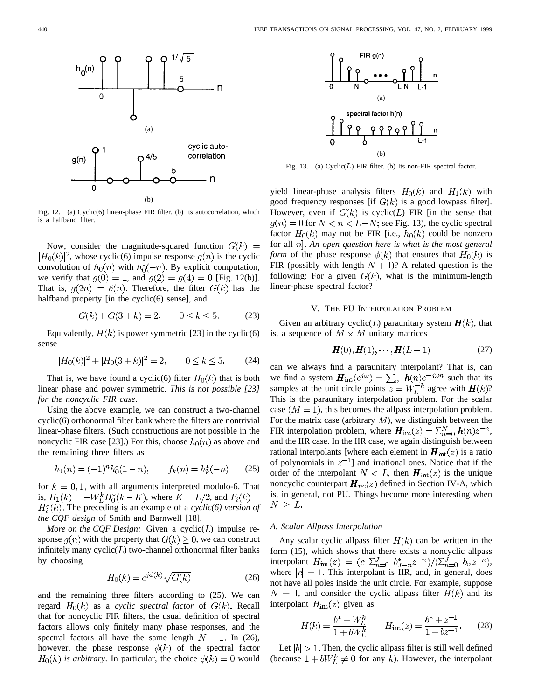

Fig. 12. (a) Cyclic(6) linear-phase FIR filter. (b) Its autocorrelation, which is a halfband filter.

Now, consider the magnitude-squared function  $G(k)$  =  $|H_0(k)|^2$ , whose cyclic(6) impulse response  $g(n)$  is the cyclic convolution of  $h_0(n)$  with  $h_0^*(-n)$ . By explicit computation, we verify that  $g(0) = 1$ , and  $g(2) = g(4) = 0$  [Fig. 12(b)]. That is,  $g(2n) = \delta(n)$ . Therefore, the filter  $G(k)$  has the halfband property [in the cyclic(6) sense], and

$$
G(k) + G(3 + k) = 2, \qquad 0 \le k \le 5. \tag{23}
$$

Equivalently,  $H(k)$  is power symmetric [23] in the cyclic(6) sense

$$
|H_0(k)|^2 + |H_0(3+k)|^2 = 2, \qquad 0 \le k \le 5. \tag{24}
$$

That is, we have found a cyclic(6) filter  $H_0(k)$  that is both linear phase and power symmetric. *This is not possible [23] for the noncyclic FIR case*.

Using the above example, we can construct a two-channel cyclic(6) orthonormal filter bank where the filters are nontrivial linear-phase filters. (Such constructions are not possible in the noncyclic FIR case [23].) For this, choose  $h_0(n)$  as above and the remaining three filters as

$$
h_1(n) = (-1)^n h_0^*(1 - n), \qquad f_k(n) = h_k^*(-n) \tag{25}
$$

for  $k = 0, 1$ , with all arguments interpreted modulo-6. That is,  $H_1(k) = -W_L^k H_0^*(k - K)$ , where  $K = L/2$ , and  $F_i(k) =$  $H_i^*(k)$ . The preceding is an example of a *cyclic(6) version of the CQF design* of Smith and Barnwell [18].

*More on the CQF Design:* Given a cyclic $(L)$  impulse response  $g(n)$  with the property that  $G(k) \geq 0$ , we can construct infinitely many  $cyclic(L)$  two-channel orthonormal filter banks by choosing

$$
H_0(k) = e^{j\phi(k)}\sqrt{G(k)}\tag{26}
$$

and the remaining three filters according to (25). We can regard  $H_0(k)$  as a *cyclic spectral factor* of  $G(k)$ . Recall that for noncyclic FIR filters, the usual definition of spectral factors allows only finitely many phase responses, and the spectral factors all have the same length  $N + 1$ . In (26), however, the phase response  $\phi(k)$  of the spectral factor  $H_0(k)$  is arbitrary. In particular, the choice  $\phi(k) = 0$  would



Fig. 13. (a)  $Cyclic(L)$  FIR filter. (b) Its non-FIR spectral factor.

yield linear-phase analysis filters  $H_0(k)$  and  $H_1(k)$  with good frequency responses [if  $G(k)$  is a good lowpass filter]. However, even if  $G(k)$  is cyclic( $L$ ) FIR [in the sense that  $f(n) = 0$  for  $N < n < L-N$ ; see Fig. 13), the cyclic spectral factor  $H_0(k)$  may not be FIR [i.e.,  $h_0(k)$  could be nonzero for all *An open question here is what is the most general form* of the phase response  $\phi(k)$  that ensures that  $H_0(k)$  is FIR (possibly with length  $N + 1$ )? A related question is the following: For a given  $G(k)$ , what is the minimum-length linear-phase spectral factor?

## V. THE PU INTERPOLATION PROBLEM

Given an arbitrary cyclic( $L$ ) paraunitary system  $H(k)$ , that is, a sequence of  $M \times M$  unitary matrices

$$
H(0), H(1), \cdots, H(L-1) \tag{27}
$$

can we always find a paraunitary interpolant? That is, can we find a system  $\mathbf{H}_{int}(e^{j\omega}) = \sum_{n} h(n)e^{-j\omega n}$  such that its samples at the unit circle points  $z = W_L^{-k}$  agree with  $H(k)$ ? This is the paraunitary interpolation problem. For the scalar case  $(M = 1)$ , this becomes the allpass interpolation problem. For the matrix case (arbitrary  $M$ ), we distinguish between the FIR interpolation problem, where  $H_{int}(z) = \sum_{n=0}^{N} h(n)z^{-n}$ , and the IIR case. In the IIR case, we again distinguish between rational interpolants [where each element in  $H_{int}(z)$  is a ratio of polynomials in  $z^{-1}$ ] and irrational ones. Notice that if the order of the interpolant  $N < L$ , then  $H_{int}(z)$  is the unique noncyclic counterpart  $H_{nc}(z)$  defined in Section IV-A, which is, in general, not PU. Things become more interesting when  $N \geq L$ .

#### *A. Scalar Allpass Interpolation*

Any scalar cyclic allpass filter  $H(k)$  can be written in the form (15), which shows that there exists a noncyclic allpass interpolant  $H_{int}(z) = (c \sum_{n=0}^{J} b_{J-n}^* z^{-n})/(\sum_{n=0}^{J} b_n z^{-n}),$ where  $|c| = 1$ . This interpolant is IIR, and, in general, does not have all poles inside the unit circle. For example, suppose  $N = 1$ , and consider the cyclic allpass filter  $H(k)$  and its interpolant  $H_{\text{int}}(z)$  given as

$$
H(k) = \frac{b^* + W_L^k}{1 + bW_L^k} \qquad H_{int}(z) = \frac{b^* + z^{-1}}{1 + bz^{-1}}.
$$
 (28)

Let  $|b| > 1$ . Then, the cyclic allpass filter is still well defined (because  $1 + bW_L^k \neq 0$  for any k). However, the interpolant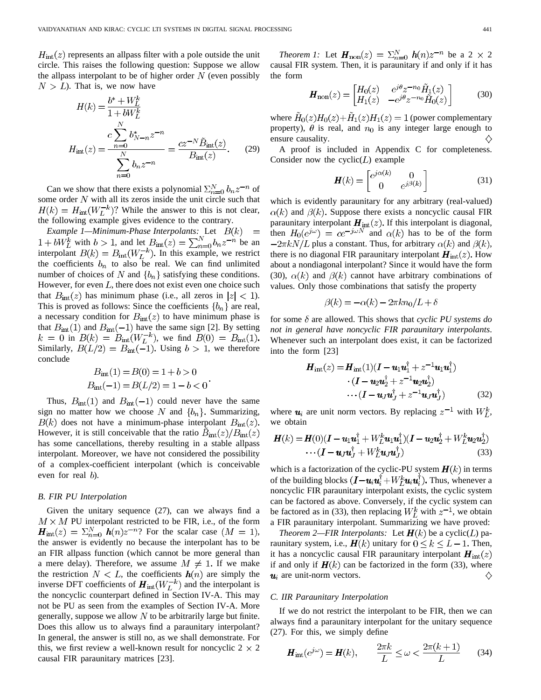$H_{\text{int}}(z)$  represents an allpass filter with a pole outside the unit circle. This raises the following question: Suppose we allow the allpass interpolant to be of higher order  $N$  (even possibly  $N > L$ ). That is, we now have

$$
H(k) = \frac{b^* + W_L^k}{1 + bW_L^k}
$$
  

$$
H_{int}(z) = \frac{c \sum_{n=0}^{N} b_{N-n}^* z^{-n}}{\sum_{n=0}^{N} b_n z^{-n}} = \frac{cz^{-N} \tilde{B}_{int}(z)}{B_{int}(z)}.
$$
 (29)

Can we show that there exists a polynomial  $\sum_{n=0}^{N} b_n z^{-n}$  of some order  $N$  with all its zeros inside the unit circle such that  $H(k) = H_{int}(W_L^{-k})$ ? While the answer to this is not clear, the following example gives evidence to the contrary.

*Example 1—Minimum-Phase Interpolants:* Let  $B(k)$  = with  $b > 1$ , and let  $B_{\rm int}(z) = \sum_{n=0}^{N} b_n z^{-n}$  be an interpolant  $B(k) = B_{\text{int}}(W_L^{-k})$ . In this example, we restrict the coefficients  $b_n$  to also be real. We can find unlimited number of choices of N and  $\{b_n\}$  satisfying these conditions. However, for even  $L$ , there does not exist even one choice such that  $B_{\text{int}}(z)$  has minimum phase (i.e., all zeros in  $|z| < 1$ ). This is proved as follows: Since the coefficients  ${b_n}$  are real, a necessary condition for  $B<sub>int</sub>(z)$  to have minimum phase is that  $B_{\text{int}}(1)$  and  $B_{\text{int}}(-1)$  have the same sign [2]. By setting  $k = 0$  in  $B(k) = B_{int}(W_L^{-k})$ , we find  $B(0) = B_{int}(1)$ . Similarly,  $B(L/2) = B_{int}(-1)$ . Using  $b > 1$ , we therefore conclude

$$
B_{\text{int}}(1) = B(0) = 1 + b > 0
$$
  

$$
B_{\text{int}}(-1) = B(L/2) = 1 - b < 0
$$

Thus,  $B_{\text{int}}(1)$  and  $B_{\text{int}}(-1)$  could never have the same sign no matter how we choose N and  $\{b_n\}$ . Summarizing,  $B(k)$  does not have a minimum-phase interpolant  $B_{int}(z)$ . However, it is still conceivable that the ratio  $B_{\text{int}}(z)/B_{\text{int}}(z)$ has some cancellations, thereby resulting in a stable allpass interpolant. Moreover, we have not considered the possibility of a complex-coefficient interpolant (which is conceivable even for real  $b$ ).

## *B. FIR PU Interpolation*

Given the unitary sequence (27), can we always find a  $M \times M$  PU interpolant restricted to be FIR, i.e., of the form  $H_{\text{int}}(z) = \sum_{n=0}^{N} h(n)z^{-n}$ ? For the scalar case  $(M = 1)$ , the answer is evidently no because the interpolant has to be an FIR allpass function (which cannot be more general than a mere delay). Therefore, we assume  $M \neq 1$ . If we make the restriction  $N < L$ , the coefficients  $h(n)$  are simply the inverse DFT coefficients of  $H_{int}(W_L^{-k})$  and the interpolant is the noncyclic counterpart defined in Section IV-A. This may not be PU as seen from the examples of Section IV-A. More generally, suppose we allow  $N$  to be arbitrarily large but finite. Does this allow us to always find a paraunitary interpolant? In general, the answer is still no, as we shall demonstrate. For this, we first review a well-known result for noncyclic  $2 \times 2$ causal FIR paraunitary matrices [23].

*Theorem 1:* Let  $H_{\text{non}}(z) = \sum_{n=0}^{N} h(n)z^{-n}$  be a 2 × 2 causal FIR system. Then, it is paraunitary if and only if it has the form

$$
\boldsymbol{H}_{\text{non}}(z) = \begin{bmatrix} H_0(z) & e^{j\theta} z^{-n_0} \tilde{H}_1(z) \\ H_1(z) & -e^{j\theta} z^{-n_0} \tilde{H}_0(z) \end{bmatrix}
$$
(30)

where  $\tilde{H}_0(z)H_0(z)+\tilde{H}_1(z)H_1(z)=1$  (power complementary property),  $\theta$  is real, and  $n_0$  is any integer large enough to ensure causality.

A proof is included in Appendix C for completeness. Consider now the cyclic $(L)$  example

$$
\boldsymbol{H}(k) = \begin{bmatrix} e^{j\alpha(k)} & 0\\ 0 & e^{j\beta(k)} \end{bmatrix}
$$
 (31)

which is evidently paraunitary for any arbitrary (real-valued)  $\alpha(k)$  and  $\beta(k)$ . Suppose there exists a noncyclic causal FIR paraunitary interpolant  $\mathbf{H}_{int}(z)$ . If this interpolant is diagonal, then  $H_0(e^{j\omega}) = ce^{-j\omega N}$  and  $\alpha(k)$  has to be of the form  $-2\pi kN/L$  plus a constant. Thus, for arbitrary  $\alpha(k)$  and  $\beta(k)$ , there is no diagonal FIR paraunitary interpolant  $H_{int}(z)$ . How about a nondiagonal interpolant? Since it would have the form (30),  $\alpha(k)$  and  $\beta(k)$  cannot have arbitrary combinations of values. Only those combinations that satisfy the property

$$
\beta(k) = -\alpha(k) - 2\pi k n_0/L + \delta
$$

for some  $\delta$  are allowed. This shows that *cyclic PU systems do not in general have noncyclic FIR paraunitary interpolants*. Whenever such an interpolant does exist, it can be factorized into the form [23]

$$
\boldsymbol{H}_{\text{int}}(z) = \boldsymbol{H}_{\text{int}}(1)(\boldsymbol{I} - \boldsymbol{u}_1 \boldsymbol{u}_1^{\text{T}} + z^{-1} \boldsymbol{u}_1 \boldsymbol{u}_1^{\text{T}}) \cdot (\boldsymbol{I} - \boldsymbol{u}_2 \boldsymbol{u}_2^{\text{T}} + z^{-1} \boldsymbol{u}_2 \boldsymbol{u}_2^{\text{T}}) \cdots (\boldsymbol{I} - \boldsymbol{u}_J \boldsymbol{u}_J^{\text{T}} + z^{-1} \boldsymbol{u}_J \boldsymbol{u}_J^{\text{T}})
$$
(32)

where  $u_i$  are unit norm vectors. By replacing  $z^{-1}$  with  $W_t^k$ , we obtain

$$
H(k) = H(0)(I - u_1u_1^{\dagger} + W_L^k u_1u_1^{\dagger})(I - u_2u_2^{\dagger} + W_L^k u_2u_2^{\dagger})
$$

$$
\cdots (I - u_Ju_J^{\dagger} + W_L^k u_Ju_J^{\dagger})
$$
(33)

which is a factorization of the cyclic-PU system  $H(k)$  in terms of the building blocks  $(I - u_i u_i^{\dagger} + W_L^k u_i u_i^{\dagger})$ . Thus, whenever a noncyclic FIR paraunitary interpolant exists, the cyclic system can be factored as above. Conversely, if the cyclic system can be factored as in (33), then replacing  $W_L^k$  with  $z^{-1}$ , we obtain a FIR paraunitary interpolant. Summarizing we have proved:

*Theorem 2—FIR Interpolants:* Let  $\mathbf{H}(k)$  be a cyclic( $L$ ) paraunitary system, i.e.,  $H(k)$  unitary for  $0 \le k \le L-1$ . Then, it has a noncyclic causal FIR paraunitary interpolant  $\mathbf{H}_{int}(z)$ if and only if  $H(k)$  can be factorized in the form (33), where  $u_i$  are unit-norm vectors. ♦

## *C. IIR Paraunitary Interpolation*

If we do not restrict the interpolant to be FIR, then we can always find a paraunitary interpolant for the unitary sequence (27). For this, we simply define

$$
\boldsymbol{H}_{\mathrm{int}}(e^{j\omega}) = \boldsymbol{H}(k), \qquad \frac{2\pi k}{L} \le \omega < \frac{2\pi(k+1)}{L} \tag{34}
$$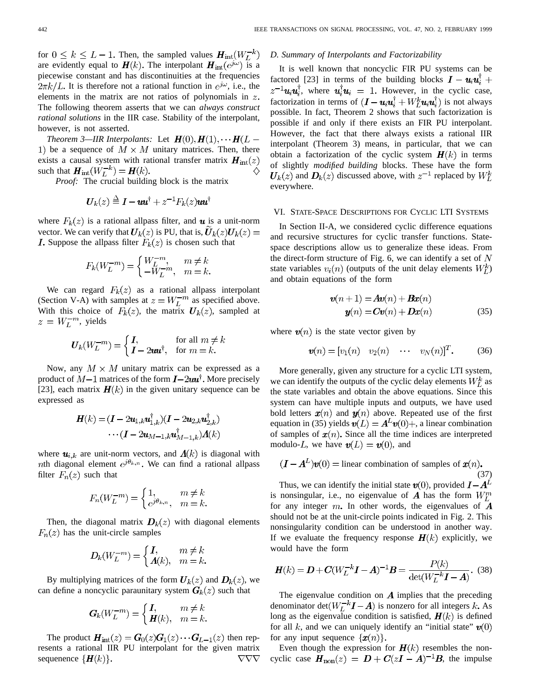for  $0 \leq k \leq L-1$ . Then, the sampled values  $H_{\text{int}}(W_L^{-k})$ are evidently equal to  $H(k)$ . The interpolant  $H_{int}(e^{j\omega})$  is a piecewise constant and has discontinuities at the frequencies  $2\pi k/L$ . It is therefore not a rational function in  $e^{j\omega}$ , i.e., the elements in the matrix are not ratios of polynomials in  $z$ . The following theorem asserts that we can *always construct rational solutions* in the IIR case. Stability of the interpolant, however, is not asserted.

*Theorem 3—IIR Interpolants:* Let  $H(0), H(1), \cdots H(L -$ 1) be a sequence of  $M \times M$  unitary matrices. Then, there exists a causal system with rational transfer matrix  $\boldsymbol{H}_{int}(z)$ such that  $\mathbf{H}_{int}(W_L^{-k}) = \mathbf{H}(k)$ .

*Proof:* The crucial building block is the matrix

$$
U_k(z) \stackrel{\Delta}{=} \mathbf{I} - \mathbf{u}\mathbf{u}^{\dagger} + z^{-1}F_k(z)\mathbf{u}\mathbf{u}^{\dagger}
$$

where  $F_k(z)$  is a rational allpass filter, and  $\boldsymbol{u}$  is a unit-norm vector. We can verify that  $U_k(z)$  is PU, that is,  $U_k(z)U_k(z) =$ **I.** Suppose the allpass filter  $F_k(z)$  is chosen such that

$$
F_k(W_L^{-m}) = \begin{cases} W_L^{-m}, & m \neq k \\ -W_L^{-m}, & m = k. \end{cases}
$$

We can regard  $F_k(z)$  as a rational allpass interpolant (Section V-A) with samples at  $z = W_L^{-m}$  as specified above. With this choice of  $F_k(z)$ , the matrix  $U_k(z)$ , sampled at  $z = W_L^{-m}$ , yields

$$
U_k(W_L^{-m}) = \begin{cases} I, & \text{for all } m \neq k \\ I - 2uu^{\dagger}, & \text{for } m = k. \end{cases}
$$

Now, any  $M \times M$  unitary matrix can be expressed as a product of  $M-1$  matrices of the form  $\bm{I}$ -2 $\bm{uu}^{\dagger}$ . More precisely [23], each matrix  $H(k)$  in the given unitary sequence can be expressed as

$$
\begin{aligned} \mathbf{H}(k) &= (\mathbf{I} - 2\mathbf{u}_{1,k}\mathbf{u}_{1,k}^\dagger)(\mathbf{I} - 2\mathbf{u}_{2,k}\mathbf{u}_{2,k}^\dagger) \\ &\cdots (\mathbf{I} - 2\mathbf{u}_{M-1,k}\mathbf{u}_{M-1,k}^\dagger)\mathbf{\Lambda}(k) \end{aligned}
$$

where  $u_{i,k}$  are unit-norm vectors, and  $A(k)$  is diagonal with *nth* diagonal element  $e^{j\theta_{k,n}}$ . We can find a rational allpass filter  $F_n(z)$  such that

$$
F_n(W_L^{-m}) = \begin{cases} 1, & m \neq k \\ e^{j\theta_{k,n}}, & m = k. \end{cases}
$$

Then, the diagonal matrix  $D_k(z)$  with diagonal elements  $F_n(z)$  has the unit-circle samples

$$
D_k(W_L^{-m}) = \begin{cases} I, & m \neq k \\ A(k), & m = k. \end{cases}
$$

By multiplying matrices of the form  $U_k(z)$  and  $D_k(z)$ , we can define a noncyclic paraunitary system  $G_k(z)$  such that

$$
\mathbf{G}_k(W_L^{-m}) = \begin{cases} \mathbf{I}, & m \neq k \\ \mathbf{H}(k), & m = k. \end{cases}
$$

The product  $\mathbf{H}_{int}(z) = \mathbf{G}_0(z)\mathbf{G}_1(z)\cdots \mathbf{G}_{L-1}(z)$  then represents a rational IIR PU interpolant for the given matrix sequenence  $\{H(k)\}.$  $\nabla\nabla\nabla$ 

#### *D. Summary of Interpolants and Factorizability*

It is well known that noncyclic FIR PU systems can be factored [23] in terms of the building blocks  $\mathbf{I} - \mathbf{u}_i \mathbf{u}_i^{\dagger} +$  $z^{-1}u_iu_i^{\dagger}$ , where  $u_i^{\dagger}u_i = 1$ . However, in the cyclic case, factorization in terms of  $(I - u_i u_i^{\dagger} + W_L^k u_i u_i^{\dagger})$  is not always possible. In fact, Theorem 2 shows that such factorization is possible if and only if there exists an FIR PU interpolant. However, the fact that there always exists a rational IIR interpolant (Theorem 3) means, in particular, that we can obtain a factorization of the cyclic system  $H(k)$  in terms of slightly *modified building* blocks. These have the form  $U_k(z)$  and  $D_k(z)$  discussed above, with  $z^{-1}$  replaced by  $W_L^k$ everywhere.

#### VI. STATE-SPACE DESCRIPTIONS FOR CYCLIC LTI SYSTEMS

In Section II-A, we considered cyclic difference equations and recursive structures for cyclic transfer functions. Statespace descriptions allow us to generalize these ideas. From the direct-form structure of Fig. 6, we can identify a set of  $N$ state variables  $v_i(n)$  (outputs of the unit delay elements  $W_t^k$ ) and obtain equations of the form

$$
\mathbf{v}(n+1) = \mathbf{A}\mathbf{v}(n) + \mathbf{B}\mathbf{x}(n)
$$
  

$$
\mathbf{y}(n) = \mathbf{C}\mathbf{v}(n) + \mathbf{D}\mathbf{x}(n)
$$
 (35)

where  $v(n)$  is the state vector given by

$$
\mathbf{v}(n) = [v_1(n) \quad v_2(n) \quad \cdots \quad v_N(n)]^T. \tag{36}
$$

More generally, given any structure for a cyclic LTI system, we can identify the outputs of the cyclic delay elements  $W_L^k$  as the state variables and obtain the above equations. Since this system can have multiple inputs and outputs, we have used bold letters  $x(n)$  and  $y(n)$  above. Repeated use of the first equation in (35) yields  $v(L) = A^L v(0) +$ , a linear combination of samples of  $x(n)$ . Since all the time indices are interpreted modulo-L, we have  $v(L) = v(0)$ , and

$$
(\mathbf{I} - \mathbf{A}^{L})\mathbf{v}(0) = \text{linear combination of samples of } \mathbf{x}(n). \tag{37}
$$

Thus, we can identify the initial state  $\mathbf{v}(0)$ , provided is nonsingular, i.e., no eigenvalue of A has the form  $W_L^m$ for any integer  $m$ . In other words, the eigenvalues of  $\boldsymbol{A}$ should not be at the unit-circle points indicated in Fig. 2. This nonsingularity condition can be understood in another way. If we evaluate the frequency response  $H(k)$  explicitly, we would have the form

$$
H(k) = D + C(W_L^{-k}I - A)^{-1}B = \frac{P(k)}{\det(W_L^{-k}I - A)}.
$$
 (38)

The eigenvalue condition on  $\boldsymbol{A}$  implies that the preceding denominator det $(W_L^{-k}I - A)$  is nonzero for all integers k. As long as the eigenvalue condition is satisfied,  $H(k)$  is defined for all k, and we can uniquely identify an "initial state"  $\mathbf{v}(0)$ for any input sequence  $\{x(n)\}.$ 

Even though the expression for  $H(k)$  resembles the noncyclic case  $H_{\text{non}}(z) = D + C(zI - A)^{-1}B$ , the impulse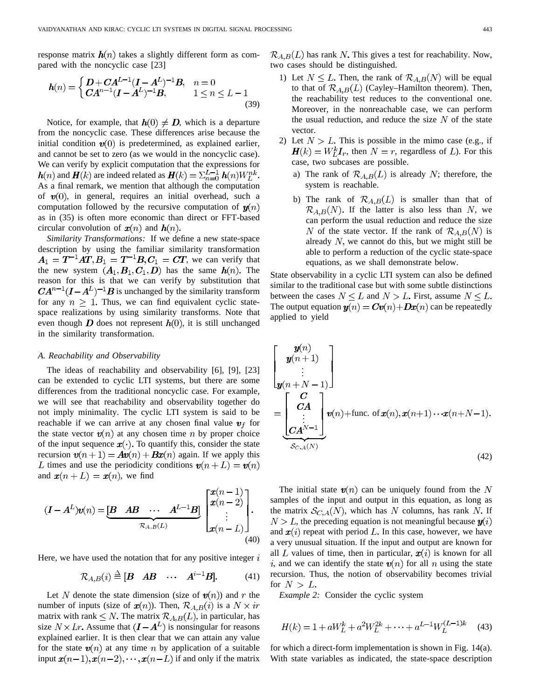response matrix  $\mathbf{h}(n)$  takes a slightly different form as compared with the noncyclic case [23]

$$
h(n) = \begin{cases} D + CA^{L-1}(I - A^{L})^{-1}B, & n = 0\\ CA^{n-1}(I - A^{L})^{-1}B, & 1 \le n \le L - 1 \end{cases}
$$
(39)

Notice, for example, that  $h(0) \neq D$ , which is a departure from the noncyclic case. These differences arise because the initial condition  $v(0)$  is predetermined, as explained earlier, and cannot be set to zero (as we would in the noncyclic case). We can verify by explicit computation that the expressions for  $h(n)$  and  $H(k)$  are indeed related as  $H(k) = \sum_{n=0}^{L-1} h(n)W_L^{nk}$ . As a final remark, we mention that although the computation of  $v(0)$ , in general, requires an initial overhead, such a computation followed by the recursive computation of  $y(n)$ as in (35) is often more economic than direct or FFT-based circular convolution of  $x(n)$  and  $h(n)$ .

*Similarity Transformations:* If we define a new state-space description by using the familiar similarity transformation , we can verify that the new system  $(A_1, B_1, C_1, D)$  has the same  $h(n)$ . The reason for this is that we can verify by substitution that  $CA^{n-1}(I-A^L)^{-1}B$  is unchanged by the similarity transform for any  $n \geq 1$ . Thus, we can find equivalent cyclic statespace realizations by using similarity transforms. Note that even though  $\bm{D}$  does not represent  $\bm{h}(0)$ , it is still unchanged in the similarity transformation.

#### *A. Reachability and Observability*

The ideas of reachability and observability [6], [9], [23] can be extended to cyclic LTI systems, but there are some differences from the traditional noncyclic case. For example, we will see that reachability and observability together do not imply minimality. The cyclic LTI system is said to be reachable if we can arrive at any chosen final value  $v_f$  for the state vector  $\mathbf{v}(n)$  at any chosen time n by proper choice of the input sequence  $x(\cdot)$ . To quantify this, consider the state recursion  $v(n+1) = Av(n) + Bx(n)$  again. If we apply this L times and use the periodicity conditions  $v(n+L) = v(n)$ and  $\mathbf{x}(n+L) = \mathbf{x}(n)$ , we find

$$
(\boldsymbol{I} - \boldsymbol{A}^{L})\boldsymbol{v}(n) = \underbrace{\begin{bmatrix} \boldsymbol{B} & \boldsymbol{A}\boldsymbol{B} & \cdots & \boldsymbol{A}^{L-1}\boldsymbol{B} \end{bmatrix}}_{\mathcal{R}_{A,B}(L)} \begin{bmatrix} \boldsymbol{x}(n-1) \\ \boldsymbol{x}(n-2) \\ \vdots \\ \boldsymbol{x}(n-L) \end{bmatrix}}_{\mathcal{A}(0)}.
$$

Here, we have used the notation that for any positive integer  $i$ 

$$
\mathcal{R}_{A,B}(i) \stackrel{\Delta}{=} [\mathbf{B} \quad \mathbf{A}\mathbf{B} \quad \cdots \quad \mathbf{A}^{i-1}\mathbf{B}]. \tag{41}
$$

Let N denote the state dimension (size of  $\mathbf{v}(n)$ ) and r the number of inputs (size of  $x(n)$ ). Then,  $\mathcal{R}_{A,B}(i)$  is a  $N \times ir$ matrix with rank  $\leq N$ . The matrix  $\mathcal{R}_{A,B}(L)$ , in particular, has size  $N \times Lr$ . Assume that  $(I - A^L)$  is nonsingular for reasons explained earlier. It is then clear that we can attain any value for the state  $v(n)$  at any time n by application of a suitable input  $x(n-1), x(n-2), \dots, x(n-L)$  if and only if the matrix  $\mathcal{R}_{A,B}(L)$  has rank N. This gives a test for reachability. Now, two cases should be distinguished.

- 1) Let  $N \leq L$ . Then, the rank of  $\mathcal{R}_{A,B}(N)$  will be equal to that of  $\mathcal{R}_{A,B}(L)$  (Cayley–Hamilton theorem). Then, the reachability test reduces to the conventional one. Moreover, in the nonreachable case, we can perform the usual reduction, and reduce the size  $N$  of the state vector.
- 2) Let  $N > L$ . This is possible in the mimo case (e.g., if  $H(k) = W_L^k I_r$ , then  $N = r$ , regardless of *L*). For this case, two subcases are possible.
	- a) The rank of  $\mathcal{R}_{A,B}(L)$  is already N; therefore, the system is reachable.
	- b) The rank of  $\mathcal{R}_{A,B}(L)$  is smaller than that of  $\mathcal{R}_{A,B}(N)$ . If the latter is also less than N, we can perform the usual reduction and reduce the size N of the state vector. If the rank of  $\mathcal{R}_{A,B}(N)$  is already  $N$ , we cannot do this, but we might still be able to perform a reduction of the cyclic state-space equations, as we shall demonstrate below.

State observability in a cyclic LTI system can also be defined similar to the traditional case but with some subtle distinctions between the cases  $N \leq L$  and  $N > L$ . First, assume  $N \leq L$ . The output equation  $y(n) = Cv(n) + Dx(n)$  can be repeatedly applied to yield

$$
\begin{bmatrix}\ny(n) \\
y(n+1) \\
\vdots \\
y(n+N-1)\n\end{bmatrix}
$$
\n
$$
=\underbrace{\begin{bmatrix}\nC \\
CA \\
\vdots \\
CA^{N-1}\n\end{bmatrix}}_{\mathcal{S}_{C,A}(N)}\nu(n) + \text{func. of } x(n), x(n+1)\cdots x(n+N-1).
$$
\n(42)

The initial state  $v(n)$  can be uniquely found from the N samples of the input and output in this equation, as long as the matrix  $S_{C,A}(N)$ , which has N columns, has rank N. If  $N > L$ , the preceding equation is not meaningful because  $y(i)$ and  $x(i)$  repeat with period L. In this case, however, we have a very unusual situation. If the input and output are known for all L values of time, then in particular,  $x(i)$  is known for all i, and we can identify the state  $\mathbf{v}(n)$  for all n using the state recursion. Thus, the notion of observability becomes trivial for  $N > L$ .

*Example 2:* Consider the cyclic system

$$
H(k) = 1 + aW_L^k + a^2W_L^{2k} + \dots + a^{L-1}W_L^{(L-1)k}
$$
 (43)

for which a direct-form implementation is shown in Fig. 14(a). With state variables as indicated, the state-space description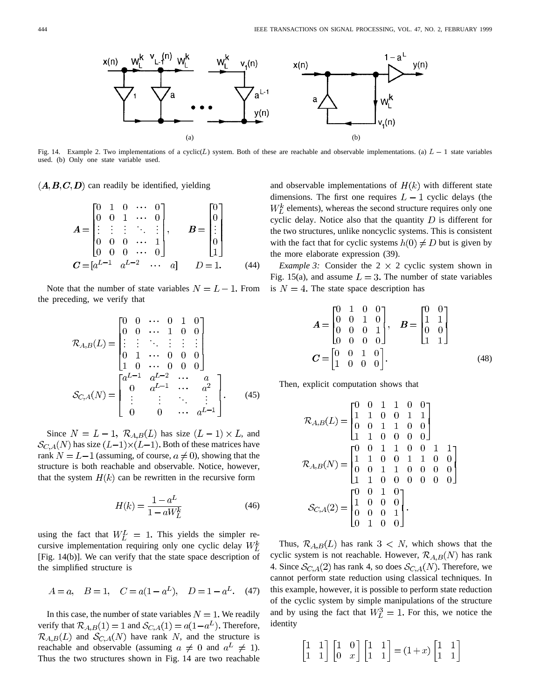

used. (b) Only one state variable used.

 $(A, B, C, D)$  can readily be identified, yielding

$$
A = \begin{bmatrix} 0 & 1 & 0 & \cdots & 0 \\ 0 & 0 & 1 & \cdots & 0 \\ \vdots & \vdots & \vdots & \ddots & \vdots \\ 0 & 0 & 0 & \cdots & 1 \\ 0 & 0 & 0 & \cdots & 0 \end{bmatrix}, \qquad B = \begin{bmatrix} 0 \\ 0 \\ \vdots \\ 0 \\ 1 \end{bmatrix}
$$
  

$$
C = [a^{L-1} \quad a^{L-2} \quad \cdots \quad a] \qquad D = 1. \qquad (44)
$$

Note that the number of state variables  $N = L - 1$ . From the preceding, we verify that

$$
\mathcal{R}_{A,B}(L) = \begin{bmatrix} 0 & 0 & \cdots & 0 & 1 & 0 \\ 0 & 0 & \cdots & 1 & 0 & 0 \\ \vdots & \vdots & \ddots & \vdots & \vdots & \vdots \\ 0 & 1 & \cdots & 0 & 0 & 0 \\ 1 & 0 & \cdots & 0 & 0 & 0 \end{bmatrix}
$$

$$
\mathcal{S}_{C,A}(N) = \begin{bmatrix} a^{L-1} & a^{L-2} & \cdots & a \\ 0 & a^{L-1} & \cdots & a^2 \\ \vdots & \vdots & \ddots & \vdots \\ 0 & 0 & \cdots & a^{L-1} \end{bmatrix} . \tag{45}
$$

Since  $N = L - 1$ ,  $\mathcal{R}_{A,B}(L)$  has size  $(L - 1) \times L$ , and  $\mathcal{S}_{C,A}(N)$  has size  $(L-1)\times(L-1)$ . Both of these matrices have rank  $N = L - 1$  (assuming, of course,  $a \neq 0$ ), showing that the structure is both reachable and observable. Notice, however, that the system  $H(k)$  can be rewritten in the recursive form

$$
H(k) = \frac{1 - a^L}{1 - aW_L^k}
$$
 (46)

using the fact that  $W_L^L = 1$ . This yields the simpler recursive implementation requiring only one cyclic delay  $W_L^k$ [Fig. 14(b)]. We can verify that the state space description of the simplified structure is

$$
A=a
$$
,  $B=1$ ,  $C=a(1-aL)$ ,  $D=1-aL$ . (47)

In this case, the number of state variables  $N = 1$ . We readily verify that  $\mathcal{R}_{A,B}(1) = 1$  and  $\mathcal{S}_{C,A}(1) = a(1 - a^L)$ . Therefore,  $\mathcal{R}_{A,B}(L)$  and  $\mathcal{S}_{C,A}(N)$  have rank N, and the structure is reachable and observable (assuming  $a \neq 0$  and  $a^L \neq 1$ ). Thus the two structures shown in Fig. 14 are two reachable

and observable implementations of  $H(k)$  with different state dimensions. The first one requires  $L-1$  cyclic delays (the  $W_L^k$  elements), whereas the second structure requires only one cyclic delay. Notice also that the quantity  $D$  is different for the two structures, unlike noncyclic systems. This is consistent with the fact that for cyclic systems  $h(0) \neq D$  but is given by the more elaborate expression (39).

*Example 3:* Consider the  $2 \times 2$  cyclic system shown in Fig. 15(a), and assume  $L = 3$ . The number of state variables is  $N = 4$ . The state space description has

$$
A = \begin{bmatrix} 0 & 1 & 0 & 0 \\ 0 & 0 & 1 & 0 \\ 0 & 0 & 0 & 1 \\ 0 & 0 & 0 & 0 \end{bmatrix}, \quad B = \begin{bmatrix} 0 & 0 \\ 1 & 1 \\ 0 & 0 \\ 1 & 1 \end{bmatrix}
$$

$$
C = \begin{bmatrix} 0 & 0 & 1 & 0 \\ 1 & 0 & 0 & 0 \end{bmatrix}.
$$
(48)

Then, explicit computation shows that

$$
\mathcal{R}_{A,B}(L) = \begin{bmatrix} 0 & 0 & 1 & 1 & 0 & 0 \\ 1 & 1 & 0 & 0 & 1 & 1 \\ 0 & 0 & 1 & 1 & 0 & 0 \\ 1 & 1 & 0 & 0 & 0 & 0 \end{bmatrix}
$$

$$
\mathcal{R}_{A,B}(N) = \begin{bmatrix} 0 & 0 & 1 & 1 & 0 & 0 & 1 & 1 \\ 1 & 1 & 0 & 0 & 1 & 1 & 0 & 0 \\ 0 & 0 & 1 & 1 & 0 & 0 & 0 & 0 \\ 1 & 1 & 0 & 0 & 0 & 0 & 0 & 0 \end{bmatrix}
$$

$$
\mathcal{S}_{C,A}(2) = \begin{bmatrix} 0 & 0 & 1 & 0 & 0 & 0 & 0 & 0 \\ 1 & 0 & 0 & 0 & 0 & 0 & 0 & 0 \\ 0 & 0 & 0 & 1 & 0 & 0 & 0 & 0 \\ 0 & 1 & 0 & 0 & 0 & 1 & 0 & 0 \end{bmatrix}.
$$

Thus,  $\mathcal{R}_{A,B}(L)$  has rank  $3 < N$ , which shows that the cyclic system is not reachable. However,  $\mathcal{R}_{A,B}(N)$  has rank 4. Since  $\mathcal{S}_{C,A}(2)$  has rank 4, so does  $\mathcal{S}_{C,A}(N)$ . Therefore, we cannot perform state reduction using classical techniques. In this example, however, it is possible to perform state reduction of the cyclic system by simple manipulations of the structure and by using the fact that  $W_L^3 = 1$ . For this, we notice the identity

$$
\begin{bmatrix} 1 & 1 \\ 1 & 1 \end{bmatrix} \begin{bmatrix} 1 & 0 \\ 0 & x \end{bmatrix} \begin{bmatrix} 1 & 1 \\ 1 & 1 \end{bmatrix} = (1+x) \begin{bmatrix} 1 & 1 \\ 1 & 1 \end{bmatrix}
$$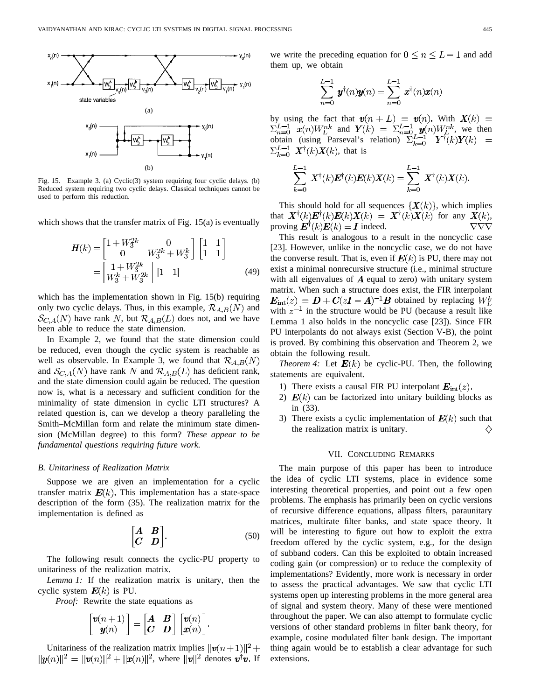

Fig. 15. Example 3. (a) Cyclic(3) system requiring four cyclic delays. (b) Reduced system requiring two cyclic delays. Classical techniques cannot be used to perform this reduction.

which shows that the transfer matrix of Fig. 15(a) is eventually

$$
\mathbf{H}(k) = \begin{bmatrix} 1 + W_3^{2k} & 0 \\ 0 & W_3^{2k} + W_3^k \end{bmatrix} \begin{bmatrix} 1 & 1 \\ 1 & 1 \end{bmatrix}
$$

$$
= \begin{bmatrix} 1 + W_3^{2k} \\ W_3^k + W_3^{2k} \end{bmatrix} \begin{bmatrix} 1 & 1 \end{bmatrix}
$$
(49)

which has the implementation shown in Fig. 15(b) requiring only two cyclic delays. Thus, in this example,  $\mathcal{R}_{A,B}(N)$  and  $\mathcal{S}_{C,A}(N)$  have rank N, but  $\mathcal{R}_{A,B}(L)$  does not, and we have been able to reduce the state dimension.

In Example 2, we found that the state dimension could be reduced, even though the cyclic system is reachable as well as observable. In Example 3, we found that  $\mathcal{R}_{A,B}(N)$ and  $\mathcal{S}_{C,A}(N)$  have rank N and  $\mathcal{R}_{A,B}(L)$  has deficient rank, and the state dimension could again be reduced. The question now is, what is a necessary and sufficient condition for the minimality of state dimension in cyclic LTI structures? A related question is, can we develop a theory paralleling the Smith–McMillan form and relate the minimum state dimension (McMillan degree) to this form? *These appear to be fundamental questions requiring future work.*

#### *B. Unitariness of Realization Matrix*

Suppose we are given an implementation for a cyclic transfer matrix  $E(k)$ . This implementation has a state-space description of the form (35). The realization matrix for the implementation is defined as

$$
\begin{bmatrix} A & B \\ C & D \end{bmatrix}.
$$
 (50)

The following result connects the cyclic-PU property to unitariness of the realization matrix.

*Lemma 1:* If the realization matrix is unitary, then the cyclic system  $E(k)$  is PU.

*Proof:* Rewrite the state equations as

$$
\begin{bmatrix} \mathbf{v}(n+1) \\ \mathbf{y}(n) \end{bmatrix} = \begin{bmatrix} \mathbf{A} & \mathbf{B} \\ \mathbf{C} & \mathbf{D} \end{bmatrix} \begin{bmatrix} \mathbf{v}(n) \\ \mathbf{x}(n) \end{bmatrix}.
$$

Unitariness of the realization matrix implies , where  $||v||^2$  denotes  $v^{\dagger}v$ . If we write the preceding equation for  $0 \le n \le L-1$  and add them up, we obtain

$$
\sum_{n=0}^{L-1} \boldsymbol{y}^{\dagger}(n)\boldsymbol{y}(n) = \sum_{n=0}^{L-1} \boldsymbol{x}^{\dagger}(n)\boldsymbol{x}(n)
$$

by using the fact that  $\mathbf{v}(n+L) = \mathbf{v}(n)$ . With  $\mathbf{X}(k) =$ and  $Y(k) = \sum_{n=0}^{L-1} y(n)W_L^{nk}$ , we then obtain (using Parseval's relation)  $\sum_{k=0}^{L-1} X^{\dagger}(k)X(k)$ , that is

$$
\sum_{k=0}^{L-1} \bm{X}^{\dagger}(k) \bm{E}^{\dagger}(k) \bm{E}(k) \bm{X}(k) = \sum_{k=0}^{L-1} \bm{X}^{\dagger}(k) \bm{X}(k).
$$

This should hold for all sequences  $\{X(k)\}\$ , which implies that  $\mathbf{X}^{\dagger}(k)\mathbf{E}^{\dagger}(k)\mathbf{E}(k)\mathbf{X}(k) = \mathbf{X}^{\dagger}(k)\mathbf{X}(k)$  for any  $\mathbf{X}(k)$ , proving  $\mathbf{E}^{\dagger}(k)\mathbf{E}(k) = \mathbf{I}$  indeed.  $\nabla\nabla\nabla$ 

This result is analogous to a result in the noncyclic case [23]. However, unlike in the noncyclic case, we do not have the converse result. That is, even if  $E(k)$  is PU, there may not exist a minimal nonrecursive structure (i.e., minimal structure with all eigenvalues of  $\vec{A}$  equal to zero) with unitary system matrix. When such a structure does exist, the FIR interpolant  $E_{int}(z) = D + C(zI - A)^{-1}B$  obtained by replacing  $W_L^k$ with  $z^{-1}$  in the structure would be PU (because a result like Lemma 1 also holds in the noncyclic case [23]). Since FIR PU interpolants do not always exist (Section V-B), the point is proved. By combining this observation and Theorem 2, we obtain the following result.

*Theorem 4:* Let  $E(k)$  be cyclic-PU. Then, the following statements are equivalent.

- 1) There exists a causal FIR PU interpolant  $E_{\text{int}}(z)$ .
- 2)  $E(k)$  can be factorized into unitary building blocks as in (33).
- 3) There exists a cyclic implementation of  $E(k)$  such that the realization matrix is unitary. ♦

#### VII. CONCLUDING REMARKS

The main purpose of this paper has been to introduce the idea of cyclic LTI systems, place in evidence some interesting theoretical properties, and point out a few open problems. The emphasis has primarily been on cyclic versions of recursive difference equations, allpass filters, paraunitary matrices, multirate filter banks, and state space theory. It will be interesting to figure out how to exploit the extra freedom offered by the cyclic system, e.g., for the design of subband coders. Can this be exploited to obtain increased coding gain (or compression) or to reduce the complexity of implementations? Evidently, more work is necessary in order to assess the practical advantages. We saw that cyclic LTI systems open up interesting problems in the more general area of signal and system theory. Many of these were mentioned throughout the paper. We can also attempt to formulate cyclic versions of other standard problems in filter bank theory, for example, cosine modulated filter bank design. The important thing again would be to establish a clear advantage for such extensions.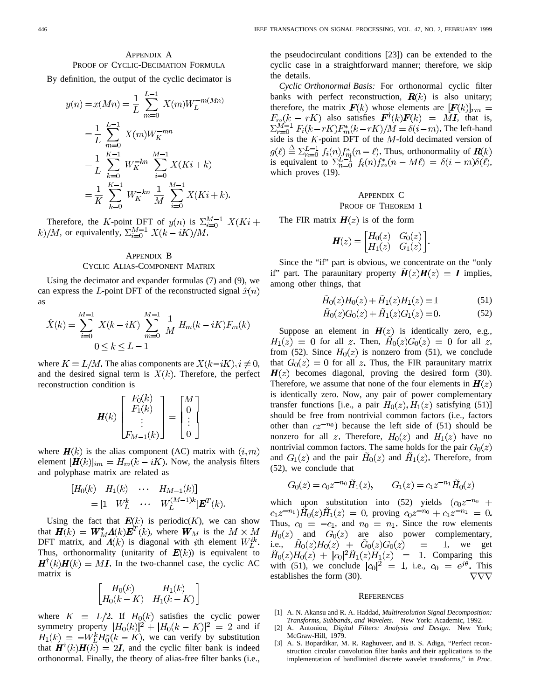# APPENDIX A PROOF OF CYCLIC-DECIMATION FORMULA

By definition, the output of the cyclic decimator is

$$
y(n) = x(Mn) = \frac{1}{L} \sum_{m=0}^{L-1} X(m)W_L^{-m(Mn)}
$$
  
=  $\frac{1}{L} \sum_{m=0}^{L-1} X(m)W_K^{-mn}$   
=  $\frac{1}{L} \sum_{k=0}^{K-1} W_K^{-kn} \sum_{i=0}^{M-1} X(Ki+k)$   
=  $\frac{1}{K} \sum_{k=0}^{K-1} W_K^{-kn} \frac{1}{M} \sum_{i=0}^{M-1} X(Ki+k).$ 

Therefore, the K-point DFT of  $y(n)$  is  $\sum_{i=0}^{M-1} X(Ki +$ k)/M, or equivalently,  $\Sigma_{i=0}^{M-1} X(k-iK)/M$ .

## APPENDIX B CYCLIC ALIAS-COMPONENT MATRIX

Using the decimator and expander formulas (7) and (9), we can express the L-point DFT of the reconstructed signal  $\hat{x}(n)$ as

$$
\hat{X}(k) = \sum_{i=0}^{M-1} X(k - iK) \sum_{m=0}^{M-1} \frac{1}{M} H_m(k - iK) F_m(k)
$$
  
0 \le k \le L - 1

where  $K = L/M$ . The alias components are  $X(k-iK), i \neq 0$ , and the desired signal term is  $X(k)$ . Therefore, the perfect reconstruction condition is

$$
\boldsymbol{H}(k)\begin{bmatrix}F_0(k)\\F_1(k)\\\vdots\\F_{M-1}(k)\end{bmatrix}=\begin{bmatrix}M\\0\\\vdots\\0\end{bmatrix}
$$

where  $H(k)$  is the alias component (AC) matrix with  $(i, m)$ element  $[H(k)]_{im} = H_m(k - iK)$ . Now, the analysis filters and polyphase matrix are related as

$$
[H_0(k) \quad H_1(k) \quad \cdots \quad H_{M-1}(k)]
$$
  
=  $\begin{bmatrix} 1 & W_L^k & \cdots & W_L^{(M-1)k} \end{bmatrix} \mathbf{E}^T(k).$ 

Using the fact that  $E(k)$  is periodic( $K$ ), we can show that  $\mathbf{H}(k) = \mathbf{W}_{M}^{*} \mathbf{\Lambda}(k) \mathbf{E}^{T}(k)$ , where  $\mathbf{W}_{M}$  is the  $M \times M$ DFT matrix, and  $A(k)$  is diagonal with ith element  $W_k^{ik}$ . Thus, orthonormality (unitarity of  $E(k)$ ) is equivalent to  $\mathbf{H}^{\dagger}(k)\mathbf{H}(k) = M\mathbf{I}$ . In the two-channel case, the cyclic AC matrix is

$$
\begin{bmatrix} H_0(k) & H_1(k) \\ H_0(k-K) & H_1(k-K) \end{bmatrix}
$$

where  $K = L/2$ . If  $H_0(k)$  satisfies the cyclic power symmetry property  $|H_0(k)|^2 + |H_0(k - K)|^2 = 2$  and if  $H_1(k) = -W_L^k H_0^*(k - K)$ , we can verify by substitution that  $\mathbf{H}^{T}(k)\mathbf{H}(k) = 2\mathbf{I}$ , and the cyclic filter bank is indeed orthonormal. Finally, the theory of alias-free filter banks (i.e.,

the pseudocirculant conditions [23]) can be extended to the cyclic case in a straightforward manner; therefore, we skip the details.

*Cyclic Orthonormal Basis:* For orthonormal cyclic filter banks with perfect reconstruction,  $\mathbf{R}(k)$  is also unitary; therefore, the matrix  $F(k)$  whose elements are  $[F(k)]_{rm} =$  $F_m(k - rK)$  also satisfies  $\mathbf{F}^{\dagger}(k)\mathbf{F}(k) = M\mathbf{I}$ , that is,  $\sum_{r=0}^{M-1} F_i(k-rK) F_m^*(k-rK)/M = \delta(i-m)$ . The left-hand side is the  $K$ -point DFT of the  $M$ -fold decimated version of Thus, orthonormality of is equivalent to  $\sum_{n=0}^{L-1} f_i(n) f_m^*(n-M\ell) = \delta(i-m)\delta(\ell),$ which proves (19).

# APPENDIX C

# PROOF OF THEOREM 1

The FIR matrix  $H(z)$  is of the form

$$
\boldsymbol{H}(z) = \begin{bmatrix} H_0(z) & G_0(z) \\ H_1(z) & G_1(z) \end{bmatrix}.
$$

Since the "if" part is obvious, we concentrate on the "only if" part. The paraunitary property  $\mathbf{H}(z)\mathbf{H}(z) = \mathbf{I}$  implies, among other things, that

$$
\tilde{H}_0(z)H_0(z) + \tilde{H}_1(z)H_1(z) = 1 \tag{51}
$$

$$
\tilde{H}_0(z)G_0(z) + \tilde{H}_1(z)G_1(z) = 0.
$$
\n(52)

Suppose an element in  $H(z)$  is identically zero, e.g.,  $H_1(z) = 0$  for all z. Then,  $H_0(z)G_0(z) = 0$  for all z, from (52). Since  $H_0(z)$  is nonzero from (51), we conclude that  $G_0(z) = 0$  for all z. Thus, the FIR paraunitary matrix  $H(z)$  becomes diagonal, proving the desired form (30). Therefore, we assume that none of the four elements in  $H(z)$ is identically zero. Now, any pair of power complementary transfer functions [i.e., a pair  $H_0(z)$ ,  $H_1(z)$  satisfying (51)] should be free from nontrivial common factors (i.e., factors other than  $cz^{-n_0}$ ) because the left side of (51) should be nonzero for all z. Therefore,  $H_0(z)$  and  $H_1(z)$  have no nontrivial common factors. The same holds for the pair  $G_0(z)$ and  $G_1(z)$  and the pair  $H_0(z)$  and  $H_1(z)$ . Therefore, from (52), we conclude that

$$
G_0(z) = c_0 z^{-n_0} \tilde{H}_1(z), \qquad G_1(z) = c_1 z^{-n_1} \tilde{H}_0(z)
$$

which upon substitution into (52) yields  $(c_0z^{-n_0} +$  $c_1 z^{-n_1} \tilde{H}_0(z) \tilde{H}_1(z) = 0$ , proving  $c_0 z^{-n_0} + c_1 z^{-n_1} = 0$ . Thus,  $c_0 = -c_1$ , and  $n_0 = n_1$ . Since the row elements  $H_0(z)$  and  $G_0(z)$  are also power complementary, i.e.,  $\tilde{H}_0(z)H_0(z) + \tilde{G}_0(z)G_0(z) = 1$ , we get  $H_0(z)H_0(z) + |c_0|^2 H_1(z)H_1(z) = 1$ . Comparing this with (51), we conclude  $|c_0|^2 = 1$ , i.e.,  $c_0 = e^{j\theta}$ . This establishes the form (30).  $\nabla\nabla\nabla$ 

#### **REFERENCES**

- [1] A. N. Akansu and R. A. Haddad, *Multiresolution Signal Decomposition: Transforms, Subbands, and Wavelets*. New York: Academic, 1992.
- [2] A. Antoniou, *Digital Filters: Analysis and Design*. New York; McGraw-Hill, 1979.
- [3] A. S. Bopardikar, M. R. Raghuveer, and B. S. Adiga, "Perfect reconstruction circular convolution filter banks and their applications to the implementation of bandlimited discrete wavelet transforms," in *Proc.*